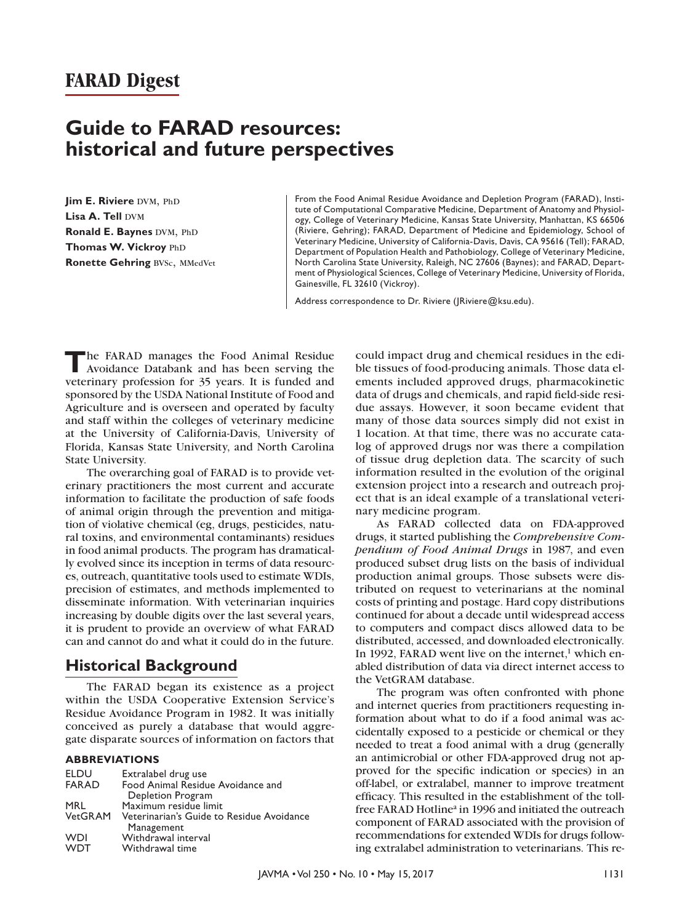# **Guide to FARAD resources: historical and future perspectives**

**Jim E. Riviere DVM, PhD** Lisa A. Tell DVM **Ronald E. Baynes DVM, PhD Thomas W. Vickroy PhD Ronette Gehring** bvsc, mmedvet From the Food Animal Residue Avoidance and Depletion Program (FARAD), Institute of Computational Comparative Medicine, Department of Anatomy and Physiology, College of Veterinary Medicine, Kansas State University, Manhattan, KS 66506 (Riviere, Gehring); FARAD, Department of Medicine and Epidemiology, School of Veterinary Medicine, University of California-Davis, Davis, CA 95616 (Tell); FARAD, Department of Population Health and Pathobiology, College of Veterinary Medicine, North Carolina State University, Raleigh, NC 27606 (Baynes); and FARAD, Department of Physiological Sciences, College of Veterinary Medicine, University of Florida, Gainesville, FL 32610 (Vickroy).

Address correspondence to Dr. Riviere ([JRiviere@ksu.edu](mailto:JRiviere@ksu.edu)).

**T**he FARAD manages the Food Animal Residue Avoidance Databank and has been serving the veterinary profession for 35 years. It is funded and sponsored by the USDA National Institute of Food and Agriculture and is overseen and operated by faculty and staff within the colleges of veterinary medicine at the University of California-Davis, University of Florida, Kansas State University, and North Carolina State University.

The overarching goal of FARAD is to provide veterinary practitioners the most current and accurate information to facilitate the production of safe foods of animal origin through the prevention and mitigation of violative chemical (eg, drugs, pesticides, natural toxins, and environmental contaminants) residues in food animal products. The program has dramatically evolved since its inception in terms of data resources, outreach, quantitative tools used to estimate WDIs, precision of estimates, and methods implemented to disseminate information. With veterinarian inquiries increasing by double digits over the last several years, it is prudent to provide an overview of what FARAD can and cannot do and what it could do in the future.

## **Historical Background**

The FARAD began its existence as a project within the USDA Cooperative Extension Service's Residue Avoidance Program in 1982. It was initially conceived as purely a database that would aggregate disparate sources of information on factors that

#### **ABBREVIATIONS**

| <b>ELDU</b>  | Extralabel drug use                       |
|--------------|-------------------------------------------|
| <b>FARAD</b> | Food Animal Residue Avoidance and         |
|              | Depletion Program                         |
| <b>MRL</b>   | Maximum residue limit                     |
| VetGRAM      | Veterinarian's Guide to Residue Avoidance |
|              | Management                                |
| <b>WDI</b>   | Withdrawal interval                       |
| <b>WDT</b>   | Withdrawal time                           |

could impact drug and chemical residues in the edible tissues of food-producing animals. Those data elements included approved drugs, pharmacokinetic data of drugs and chemicals, and rapid field-side residue assays. However, it soon became evident that many of those data sources simply did not exist in 1 location. At that time, there was no accurate catalog of approved drugs nor was there a compilation of tissue drug depletion data. The scarcity of such information resulted in the evolution of the original extension project into a research and outreach project that is an ideal example of a translational veterinary medicine program.

As FARAD collected data on FDA-approved drugs, it started publishing the *Comprehensive Compendium of Food Animal Drugs* in 1987, and even produced subset drug lists on the basis of individual production animal groups. Those subsets were distributed on request to veterinarians at the nominal costs of printing and postage. Hard copy distributions continued for about a decade until widespread access to computers and compact discs allowed data to be distributed, accessed, and downloaded electronically. In 1992, FARAD went live on the internet, $1$  which enabled distribution of data via direct internet access to the VetGRAM database.

The program was often confronted with phone and internet queries from practitioners requesting information about what to do if a food animal was accidentally exposed to a pesticide or chemical or they needed to treat a food animal with a drug (generally an antimicrobial or other FDA-approved drug not approved for the specific indication or species) in an off-label, or extralabel, manner to improve treatment efficacy. This resulted in the establishment of the tollfree FARAD Hotline<sup>a</sup> in 1996 and initiated the outreach component of FARAD associated with the provision of recommendations for extended WDIs for drugs following extralabel administration to veterinarians. This re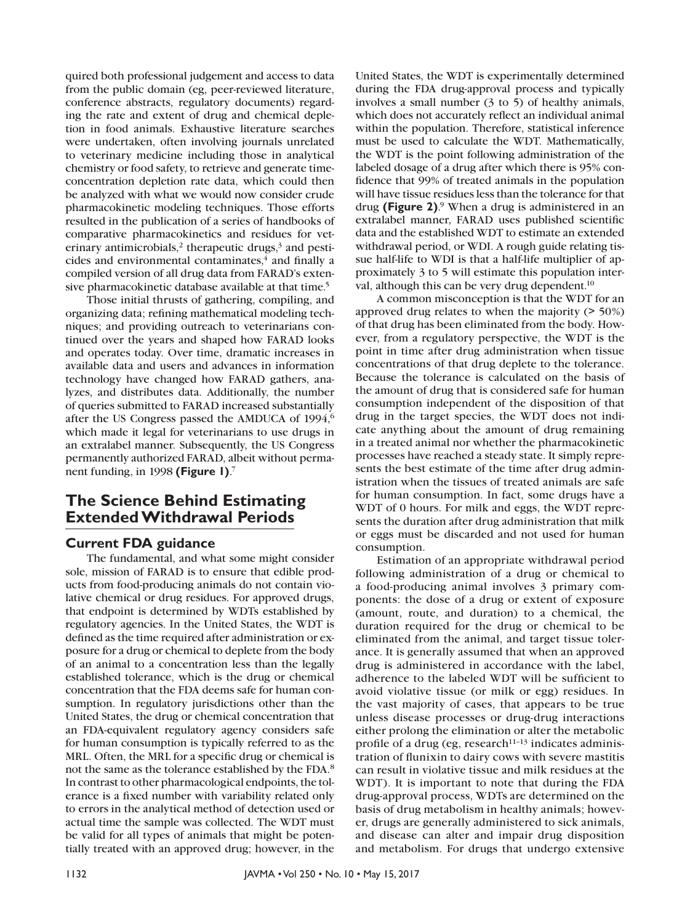quired both professional judgement and access to data from the public domain (eg, peer-reviewed literature, conference abstracts, regulatory documents) regarding the rate and extent of drug and chemical depletion in food animals. Exhaustive literature searches were undertaken, often involving journals unrelated to veterinary medicine including those in analytical chemistry or food safety, to retrieve and generate timeconcentration depletion rate data, which could then be analyzed with what we would now consider crude pharmacokinetic modeling techniques. Those efforts resulted in the publication of a series of handbooks of comparative pharmacokinetics and residues for veterinary antimicrobials, $2$  therapeutic drugs, $3$  and pesticides and environmental contaminates, $4$  and finally a compiled version of all drug data from FARAD's extensive pharmacokinetic database available at that time.<sup>5</sup>

Those initial thrusts of gathering, compiling, and organizing data; refining mathematical modeling techniques; and providing outreach to veterinarians continued over the years and shaped how FARAD looks and operates today. Over time, dramatic increases in available data and users and advances in information technology have changed how FARAD gathers, analyzes, and distributes data. Additionally, the number of queries submitted to FARAD increased substantially after the US Congress passed the AMDUCA of 1994,<sup>6</sup> which made it legal for veterinarians to use drugs in an extralabel manner. Subsequently, the US Congress permanently authorized FARAD, albeit without permanent funding, in 1998 **(Figure 1)**. 7

### **The Science Behind Estimating Extended Withdrawal Periods**

#### **Current FDA guidance**

The fundamental, and what some might consider sole, mission of FARAD is to ensure that edible products from food-producing animals do not contain violative chemical or drug residues. For approved drugs, that endpoint is determined by WDTs established by regulatory agencies. In the United States, the WDT is defined as the time required after administration or exposure for a drug or chemical to deplete from the body of an animal to a concentration less than the legally established tolerance, which is the drug or chemical concentration that the FDA deems safe for human consumption. In regulatory jurisdictions other than the United States, the drug or chemical concentration that an FDA-equivalent regulatory agency considers safe for human consumption is typically referred to as the MRL. Often, the MRL for a specific drug or chemical is not the same as the tolerance established by the FDA.8 In contrast to other pharmacological endpoints, the tolerance is a fixed number with variability related only to errors in the analytical method of detection used or actual time the sample was collected. The WDT must be valid for all types of animals that might be potentially treated with an approved drug; however, in the United States, the WDT is experimentally determined during the FDA drug-approval process and typically involves a small number (3 to 5) of healthy animals, which does not accurately reflect an individual animal within the population. Therefore, statistical inference must be used to calculate the WDT. Mathematically, the WDT is the point following administration of the labeled dosage of a drug after which there is 95% confidence that 99% of treated animals in the population will have tissue residues less than the tolerance for that drug **(Figure 2)**. 9 When a drug is administered in an extralabel manner, FARAD uses published scientific data and the established WDT to estimate an extended withdrawal period, or WDI. A rough guide relating tissue half-life to WDI is that a half-life multiplier of approximately 3 to 5 will estimate this population interval, although this can be very drug dependent.<sup>10</sup>

A common misconception is that the WDT for an approved drug relates to when the majority (> 50%) of that drug has been eliminated from the body. However, from a regulatory perspective, the WDT is the point in time after drug administration when tissue concentrations of that drug deplete to the tolerance. Because the tolerance is calculated on the basis of the amount of drug that is considered safe for human consumption independent of the disposition of that drug in the target species, the WDT does not indicate anything about the amount of drug remaining in a treated animal nor whether the pharmacokinetic processes have reached a steady state. It simply represents the best estimate of the time after drug administration when the tissues of treated animals are safe for human consumption. In fact, some drugs have a WDT of 0 hours. For milk and eggs, the WDT represents the duration after drug administration that milk or eggs must be discarded and not used for human consumption.

Estimation of an appropriate withdrawal period following administration of a drug or chemical to a food-producing animal involves 3 primary components: the dose of a drug or extent of exposure (amount, route, and duration) to a chemical, the duration required for the drug or chemical to be eliminated from the animal, and target tissue tolerance. It is generally assumed that when an approved drug is administered in accordance with the label, adherence to the labeled WDT will be sufficient to avoid violative tissue (or milk or egg) residues. In the vast majority of cases, that appears to be true unless disease processes or drug-drug interactions either prolong the elimination or alter the metabolic profile of a drug (eg, research<sup>11-13</sup> indicates administration of flunixin to dairy cows with severe mastitis can result in violative tissue and milk residues at the WDT). It is important to note that during the FDA drug-approval process, WDTs are determined on the basis of drug metabolism in healthy animals; however, drugs are generally administered to sick animals, and disease can alter and impair drug disposition and metabolism. For drugs that undergo extensive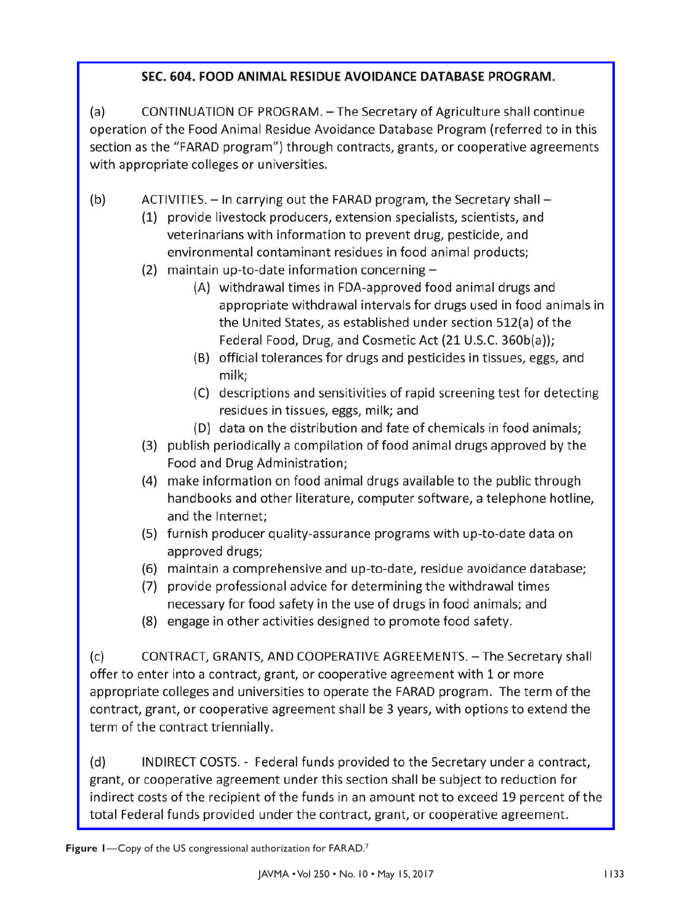## SEC. 604. FOOD ANIMAL RESIDUE AVOIDANCE DATABASE PROGRAM.

 $(a)$ CONTINUATION OF PROGRAM. - The Secretary of Agriculture shall continue operation of the Food Animal Residue Avoidance Database Program (referred to in this section as the "FARAD program") through contracts, grants, or cooperative agreements with appropriate colleges or universities.

- $(b)$ ACTIVITIES. - In carrying out the FARAD program, the Secretary shall -
	- (1) provide livestock producers, extension specialists, scientists, and veterinarians with information to prevent drug, pesticide, and environmental contaminant residues in food animal products;
	- (2) maintain up-to-date information concerning  $-$ 
		- (A) withdrawal times in FDA-approved food animal drugs and appropriate withdrawal intervals for drugs used in food animals in the United States, as established under section 512(a) of the Federal Food, Drug, and Cosmetic Act (21 U.S.C. 360b(a));
		- (B) official tolerances for drugs and pesticides in tissues, eggs, and milk:
		- (C) descriptions and sensitivities of rapid screening test for detecting residues in tissues, eggs, milk; and
		- (D) data on the distribution and fate of chemicals in food animals;
	- (3) publish periodically a compilation of food animal drugs approved by the Food and Drug Administration;
	- (4) make information on food animal drugs available to the public through handbooks and other literature, computer software, a telephone hotline, and the Internet:
	- (5) furnish producer quality-assurance programs with up-to-date data on approved drugs;
	- (6) maintain a comprehensive and up-to-date, residue avoidance database;
	- (7) provide professional advice for determining the withdrawal times necessary for food safety in the use of drugs in food animals; and
	- (8) engage in other activities designed to promote food safety.

 $(c)$ CONTRACT, GRANTS, AND COOPERATIVE AGREEMENTS. - The Secretary shall offer to enter into a contract, grant, or cooperative agreement with 1 or more appropriate colleges and universities to operate the FARAD program. The term of the contract, grant, or cooperative agreement shall be 3 years, with options to extend the term of the contract triennially.

 $(d)$ INDIRECT COSTS. - Federal funds provided to the Secretary under a contract, grant, or cooperative agreement under this section shall be subject to reduction for indirect costs of the recipient of the funds in an amount not to exceed 19 percent of the total Federal funds provided under the contract, grant, or cooperative agreement.

#### **Figure 1—Copy of the US congressional authorization for FARAD.<sup>7</sup>**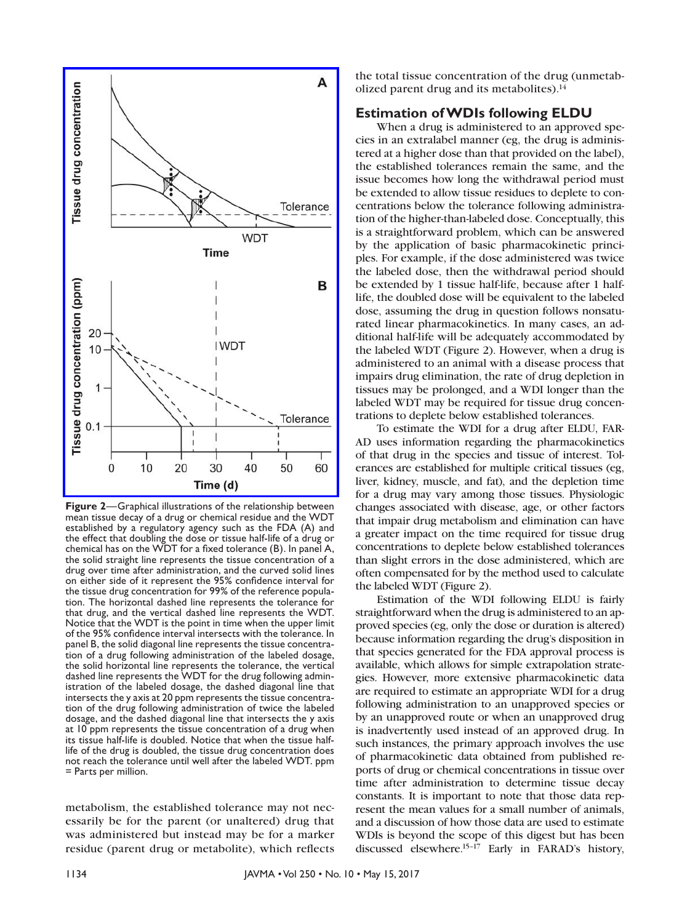

**Figure 2**—Graphical illustrations of the relationship between mean tissue decay of a drug or chemical residue and the WDT established by a regulatory agency such as the FDA (A) and the effect that doubling the dose or tissue half-life of a drug or chemical has on the WDT for a fixed tolerance (B). In panel A, the solid straight line represents the tissue concentration of a drug over time after administration, and the curved solid lines on either side of it represent the 95% confidence interval for the tissue drug concentration for 99% of the reference population. The horizontal dashed line represents the tolerance for that drug, and the vertical dashed line represents the WDT. Notice that the WDT is the point in time when the upper limit of the 95% confidence interval intersects with the tolerance. In panel B, the solid diagonal line represents the tissue concentration of a drug following administration of the labeled dosage, the solid horizontal line represents the tolerance, the vertical dashed line represents the WDT for the drug following administration of the labeled dosage, the dashed diagonal line that intersects the y axis at 20 ppm represents the tissue concentration of the drug following administration of twice the labeled dosage, and the dashed diagonal line that intersects the y axis at 10 ppm represents the tissue concentration of a drug when its tissue half-life is doubled. Notice that when the tissue halflife of the drug is doubled, the tissue drug concentration does not reach the tolerance until well after the labeled WDT. ppm = Parts per million.

metabolism, the established tolerance may not necessarily be for the parent (or unaltered) drug that was administered but instead may be for a marker residue (parent drug or metabolite), which reflects

the total tissue concentration of the drug (unmetabolized parent drug and its metabolites).<sup>14</sup>

#### **Estimation of WDIs following ELDU**

When a drug is administered to an approved species in an extralabel manner (eg, the drug is administered at a higher dose than that provided on the label), the established tolerances remain the same, and the issue becomes how long the withdrawal period must be extended to allow tissue residues to deplete to concentrations below the tolerance following administration of the higher-than-labeled dose. Conceptually, this is a straightforward problem, which can be answered by the application of basic pharmacokinetic principles. For example, if the dose administered was twice the labeled dose, then the withdrawal period should be extended by 1 tissue half-life, because after 1 halflife, the doubled dose will be equivalent to the labeled dose, assuming the drug in question follows nonsaturated linear pharmacokinetics. In many cases, an additional half-life will be adequately accommodated by the labeled WDT (Figure 2). However, when a drug is administered to an animal with a disease process that impairs drug elimination, the rate of drug depletion in tissues may be prolonged, and a WDI longer than the labeled WDT may be required for tissue drug concentrations to deplete below established tolerances.

To estimate the WDI for a drug after ELDU, FAR-AD uses information regarding the pharmacokinetics of that drug in the species and tissue of interest. Tolerances are established for multiple critical tissues (eg, liver, kidney, muscle, and fat), and the depletion time for a drug may vary among those tissues. Physiologic changes associated with disease, age, or other factors that impair drug metabolism and elimination can have a greater impact on the time required for tissue drug concentrations to deplete below established tolerances than slight errors in the dose administered, which are often compensated for by the method used to calculate the labeled WDT (Figure 2).

Estimation of the WDI following ELDU is fairly straightforward when the drug is administered to an approved species (eg, only the dose or duration is altered) because information regarding the drug's disposition in that species generated for the FDA approval process is available, which allows for simple extrapolation strategies. However, more extensive pharmacokinetic data are required to estimate an appropriate WDI for a drug following administration to an unapproved species or by an unapproved route or when an unapproved drug is inadvertently used instead of an approved drug. In such instances, the primary approach involves the use of pharmacokinetic data obtained from published reports of drug or chemical concentrations in tissue over time after administration to determine tissue decay constants. It is important to note that those data represent the mean values for a small number of animals, and a discussion of how those data are used to estimate WDIs is beyond the scope of this digest but has been discussed elsewhere.<sup>15-17</sup> Early in FARAD's history,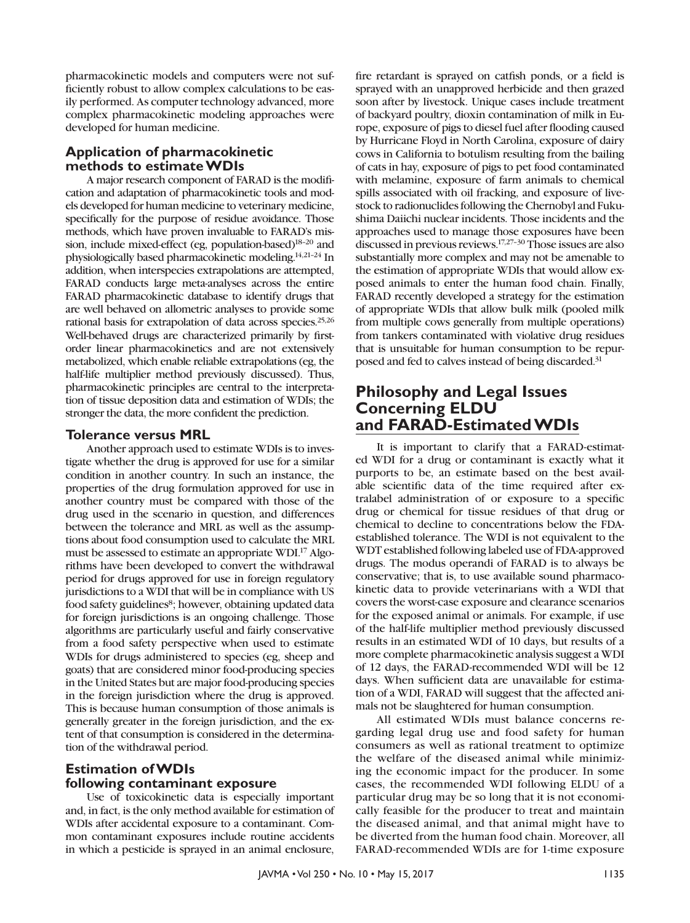pharmacokinetic models and computers were not sufficiently robust to allow complex calculations to be easily performed. As computer technology advanced, more complex pharmacokinetic modeling approaches were developed for human medicine.

#### **Application of pharmacokinetic methods to estimate WDIs**

A major research component of FARAD is the modification and adaptation of pharmacokinetic tools and models developed for human medicine to veterinary medicine, specifically for the purpose of residue avoidance. Those methods, which have proven invaluable to FARAD's mission, include mixed-effect (eg, population-based)<sup>18-20</sup> and physiologically based pharmacokinetic modeling.14,21–24 In addition, when interspecies extrapolations are attempted, FARAD conducts large meta-analyses across the entire FARAD pharmacokinetic database to identify drugs that are well behaved on allometric analyses to provide some rational basis for extrapolation of data across species.25,26 Well-behaved drugs are characterized primarily by firstorder linear pharmacokinetics and are not extensively metabolized, which enable reliable extrapolations (eg, the half-life multiplier method previously discussed). Thus, pharmacokinetic principles are central to the interpretation of tissue deposition data and estimation of WDIs; the stronger the data, the more confident the prediction.

#### **Tolerance versus MRL**

Another approach used to estimate WDIs is to investigate whether the drug is approved for use for a similar condition in another country. In such an instance, the properties of the drug formulation approved for use in another country must be compared with those of the drug used in the scenario in question, and differences between the tolerance and MRL as well as the assumptions about food consumption used to calculate the MRL must be assessed to estimate an appropriate WDI.17 Algorithms have been developed to convert the withdrawal period for drugs approved for use in foreign regulatory jurisdictions to a WDI that will be in compliance with US food safety guidelines<sup>8</sup>; however, obtaining updated data for foreign jurisdictions is an ongoing challenge. Those algorithms are particularly useful and fairly conservative from a food safety perspective when used to estimate WDIs for drugs administered to species (eg, sheep and goats) that are considered minor food-producing species in the United States but are major food-producing species in the foreign jurisdiction where the drug is approved. This is because human consumption of those animals is generally greater in the foreign jurisdiction, and the extent of that consumption is considered in the determination of the withdrawal period.

#### **Estimation of WDIs following contaminant exposure**

Use of toxicokinetic data is especially important and, in fact, is the only method available for estimation of WDIs after accidental exposure to a contaminant. Common contaminant exposures include routine accidents in which a pesticide is sprayed in an animal enclosure,

fire retardant is sprayed on catfish ponds, or a field is sprayed with an unapproved herbicide and then grazed soon after by livestock. Unique cases include treatment of backyard poultry, dioxin contamination of milk in Europe, exposure of pigs to diesel fuel after flooding caused by Hurricane Floyd in North Carolina, exposure of dairy cows in California to botulism resulting from the bailing of cats in hay, exposure of pigs to pet food contaminated with melamine, exposure of farm animals to chemical spills associated with oil fracking, and exposure of livestock to radionuclides following the Chernobyl and Fukushima Daiichi nuclear incidents. Those incidents and the approaches used to manage those exposures have been discussed in previous reviews.17,27–30 Those issues are also substantially more complex and may not be amenable to the estimation of appropriate WDIs that would allow exposed animals to enter the human food chain. Finally, FARAD recently developed a strategy for the estimation of appropriate WDIs that allow bulk milk (pooled milk from multiple cows generally from multiple operations) from tankers contaminated with violative drug residues that is unsuitable for human consumption to be repurposed and fed to calves instead of being discarded.<sup>31</sup>

### **Philosophy and Legal Issues Concerning ELDU and FARAD-Estimated WDIs**

It is important to clarify that a FARAD-estimated WDI for a drug or contaminant is exactly what it purports to be, an estimate based on the best available scientific data of the time required after extralabel administration of or exposure to a specific drug or chemical for tissue residues of that drug or chemical to decline to concentrations below the FDAestablished tolerance. The WDI is not equivalent to the WDT established following labeled use of FDA-approved drugs. The modus operandi of FARAD is to always be conservative; that is, to use available sound pharmacokinetic data to provide veterinarians with a WDI that covers the worst-case exposure and clearance scenarios for the exposed animal or animals. For example, if use of the half-life multiplier method previously discussed results in an estimated WDI of 10 days, but results of a more complete pharmacokinetic analysis suggest a WDI of 12 days, the FARAD-recommended WDI will be 12 days. When sufficient data are unavailable for estimation of a WDI, FARAD will suggest that the affected animals not be slaughtered for human consumption.

All estimated WDIs must balance concerns regarding legal drug use and food safety for human consumers as well as rational treatment to optimize the welfare of the diseased animal while minimizing the economic impact for the producer. In some cases, the recommended WDI following ELDU of a particular drug may be so long that it is not economically feasible for the producer to treat and maintain the diseased animal, and that animal might have to be diverted from the human food chain. Moreover, all FARAD-recommended WDIs are for 1-time exposure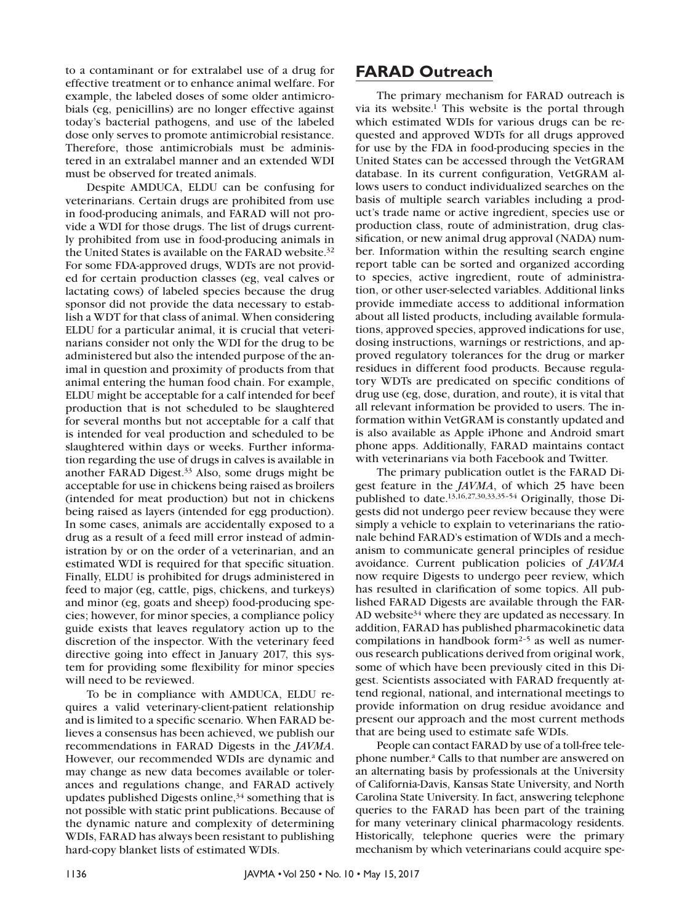to a contaminant or for extralabel use of a drug for effective treatment or to enhance animal welfare. For example, the labeled doses of some older antimicrobials (eg, penicillins) are no longer effective against today's bacterial pathogens, and use of the labeled dose only serves to promote antimicrobial resistance. Therefore, those antimicrobials must be administered in an extralabel manner and an extended WDI must be observed for treated animals.

Despite AMDUCA, ELDU can be confusing for veterinarians. Certain drugs are prohibited from use in food-producing animals, and FARAD will not provide a WDI for those drugs. The list of drugs currently prohibited from use in food-producing animals in the United States is available on the FARAD website.32 For some FDA-approved drugs, WDTs are not provided for certain production classes (eg, veal calves or lactating cows) of labeled species because the drug sponsor did not provide the data necessary to establish a WDT for that class of animal. When considering ELDU for a particular animal, it is crucial that veterinarians consider not only the WDI for the drug to be administered but also the intended purpose of the animal in question and proximity of products from that animal entering the human food chain. For example, ELDU might be acceptable for a calf intended for beef production that is not scheduled to be slaughtered for several months but not acceptable for a calf that is intended for veal production and scheduled to be slaughtered within days or weeks. Further information regarding the use of drugs in calves is available in another FARAD Digest.33 Also, some drugs might be acceptable for use in chickens being raised as broilers (intended for meat production) but not in chickens being raised as layers (intended for egg production). In some cases, animals are accidentally exposed to a drug as a result of a feed mill error instead of administration by or on the order of a veterinarian, and an estimated WDI is required for that specific situation. Finally, ELDU is prohibited for drugs administered in feed to major (eg, cattle, pigs, chickens, and turkeys) and minor (eg, goats and sheep) food-producing species; however, for minor species, a compliance policy guide exists that leaves regulatory action up to the discretion of the inspector. With the veterinary feed directive going into effect in January 2017, this system for providing some flexibility for minor species will need to be reviewed.

To be in compliance with AMDUCA, ELDU requires a valid veterinary-client-patient relationship and is limited to a specific scenario. When FARAD believes a consensus has been achieved, we publish our recommendations in FARAD Digests in the *JAVMA*. However, our recommended WDIs are dynamic and may change as new data becomes available or tolerances and regulations change, and FARAD actively updates published Digests online,<sup>34</sup> something that is not possible with static print publications. Because of the dynamic nature and complexity of determining WDIs, FARAD has always been resistant to publishing hard-copy blanket lists of estimated WDIs.

### **FARAD Outreach**

The primary mechanism for FARAD outreach is via its website.<sup>1</sup> This website is the portal through which estimated WDIs for various drugs can be requested and approved WDTs for all drugs approved for use by the FDA in food-producing species in the United States can be accessed through the VetGRAM database. In its current configuration, VetGRAM allows users to conduct individualized searches on the basis of multiple search variables including a product's trade name or active ingredient, species use or production class, route of administration, drug classification, or new animal drug approval (NADA) number. Information within the resulting search engine report table can be sorted and organized according to species, active ingredient, route of administration, or other user-selected variables. Additional links provide immediate access to additional information about all listed products, including available formulations, approved species, approved indications for use, dosing instructions, warnings or restrictions, and approved regulatory tolerances for the drug or marker residues in different food products. Because regulatory WDTs are predicated on specific conditions of drug use (eg, dose, duration, and route), it is vital that all relevant information be provided to users. The information within VetGRAM is constantly updated and is also available as Apple iPhone and Android smart phone apps. Additionally, FARAD maintains contact with veterinarians via both Facebook and Twitter.

The primary publication outlet is the FARAD Digest feature in the *JAVMA*, of which 25 have been published to date.13,16,27,30,33,35–54 Originally, those Digests did not undergo peer review because they were simply a vehicle to explain to veterinarians the rationale behind FARAD's estimation of WDIs and a mechanism to communicate general principles of residue avoidance. Current publication policies of *JAVMA* now require Digests to undergo peer review, which has resulted in clarification of some topics. All published FARAD Digests are available through the FAR-AD website<sup>34</sup> where they are updated as necessary. In addition, FARAD has published pharmacokinetic data compilations in handbook form $2-5$  as well as numerous research publications derived from original work, some of which have been previously cited in this Digest. Scientists associated with FARAD frequently attend regional, national, and international meetings to provide information on drug residue avoidance and present our approach and the most current methods that are being used to estimate safe WDIs.

People can contact FARAD by use of a toll-free telephone number.<sup>a</sup> Calls to that number are answered on an alternating basis by professionals at the University of California-Davis, Kansas State University, and North Carolina State University. In fact, answering telephone queries to the FARAD has been part of the training for many veterinary clinical pharmacology residents. Historically, telephone queries were the primary mechanism by which veterinarians could acquire spe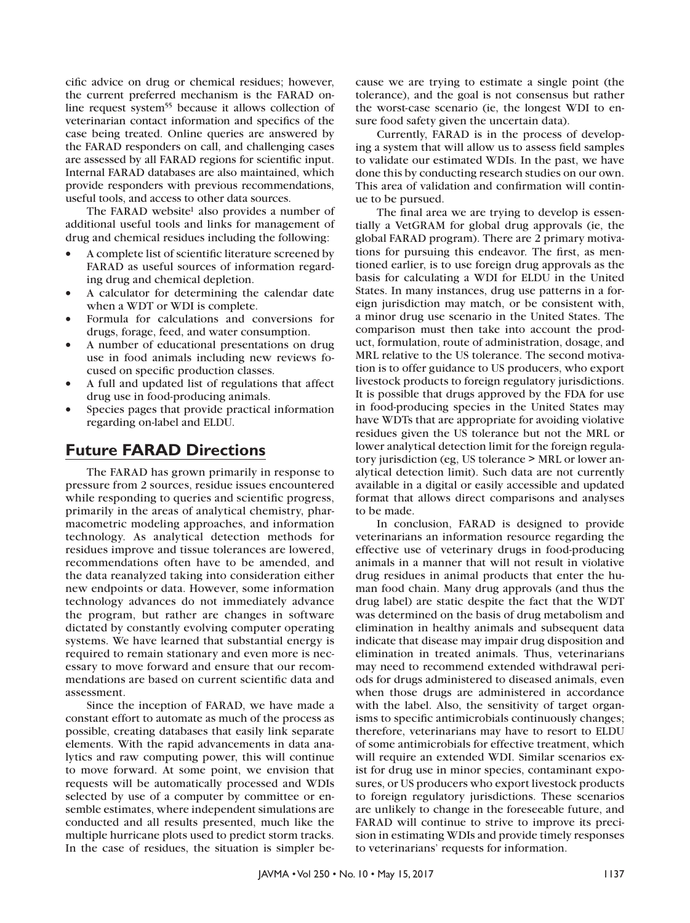cific advice on drug or chemical residues; however, the current preferred mechanism is the FARAD online request system<sup>55</sup> because it allows collection of veterinarian contact information and specifics of the case being treated. Online queries are answered by the FARAD responders on call, and challenging cases are assessed by all FARAD regions for scientific input. Internal FARAD databases are also maintained, which provide responders with previous recommendations, useful tools, and access to other data sources.

The FARAD website<sup>1</sup> also provides a number of additional useful tools and links for management of drug and chemical residues including the following:

- A complete list of scientific literature screened by FARAD as useful sources of information regarding drug and chemical depletion.
- A calculator for determining the calendar date when a WDT or WDI is complete.
- Formula for calculations and conversions for drugs, forage, feed, and water consumption.
- A number of educational presentations on drug use in food animals including new reviews focused on specific production classes.
- A full and updated list of regulations that affect drug use in food-producing animals.
- Species pages that provide practical information regarding on-label and ELDU.

### **Future FARAD Directions**

The FARAD has grown primarily in response to pressure from 2 sources, residue issues encountered while responding to queries and scientific progress, primarily in the areas of analytical chemistry, pharmacometric modeling approaches, and information technology. As analytical detection methods for residues improve and tissue tolerances are lowered, recommendations often have to be amended, and the data reanalyzed taking into consideration either new endpoints or data. However, some information technology advances do not immediately advance the program, but rather are changes in software dictated by constantly evolving computer operating systems. We have learned that substantial energy is required to remain stationary and even more is necessary to move forward and ensure that our recommendations are based on current scientific data and assessment.

Since the inception of FARAD, we have made a constant effort to automate as much of the process as possible, creating databases that easily link separate elements. With the rapid advancements in data analytics and raw computing power, this will continue to move forward. At some point, we envision that requests will be automatically processed and WDIs selected by use of a computer by committee or ensemble estimates, where independent simulations are conducted and all results presented, much like the multiple hurricane plots used to predict storm tracks. In the case of residues, the situation is simpler because we are trying to estimate a single point (the tolerance), and the goal is not consensus but rather the worst-case scenario (ie, the longest WDI to ensure food safety given the uncertain data).

Currently, FARAD is in the process of developing a system that will allow us to assess field samples to validate our estimated WDIs. In the past, we have done this by conducting research studies on our own. This area of validation and confirmation will continue to be pursued.

The final area we are trying to develop is essentially a VetGRAM for global drug approvals (ie, the global FARAD program). There are 2 primary motivations for pursuing this endeavor. The first, as mentioned earlier, is to use foreign drug approvals as the basis for calculating a WDI for ELDU in the United States. In many instances, drug use patterns in a foreign jurisdiction may match, or be consistent with, a minor drug use scenario in the United States. The comparison must then take into account the product, formulation, route of administration, dosage, and MRL relative to the US tolerance. The second motivation is to offer guidance to US producers, who export livestock products to foreign regulatory jurisdictions. It is possible that drugs approved by the FDA for use in food-producing species in the United States may have WDTs that are appropriate for avoiding violative residues given the US tolerance but not the MRL or lower analytical detection limit for the foreign regulatory jurisdiction (eg, US tolerance > MRL or lower analytical detection limit). Such data are not currently available in a digital or easily accessible and updated format that allows direct comparisons and analyses to be made.

In conclusion, FARAD is designed to provide veterinarians an information resource regarding the effective use of veterinary drugs in food-producing animals in a manner that will not result in violative drug residues in animal products that enter the human food chain. Many drug approvals (and thus the drug label) are static despite the fact that the WDT was determined on the basis of drug metabolism and elimination in healthy animals and subsequent data indicate that disease may impair drug disposition and elimination in treated animals. Thus, veterinarians may need to recommend extended withdrawal periods for drugs administered to diseased animals, even when those drugs are administered in accordance with the label. Also, the sensitivity of target organisms to specific antimicrobials continuously changes; therefore, veterinarians may have to resort to ELDU of some antimicrobials for effective treatment, which will require an extended WDI. Similar scenarios exist for drug use in minor species, contaminant exposures, or US producers who export livestock products to foreign regulatory jurisdictions. These scenarios are unlikely to change in the foreseeable future, and FARAD will continue to strive to improve its precision in estimating WDIs and provide timely responses to veterinarians' requests for information.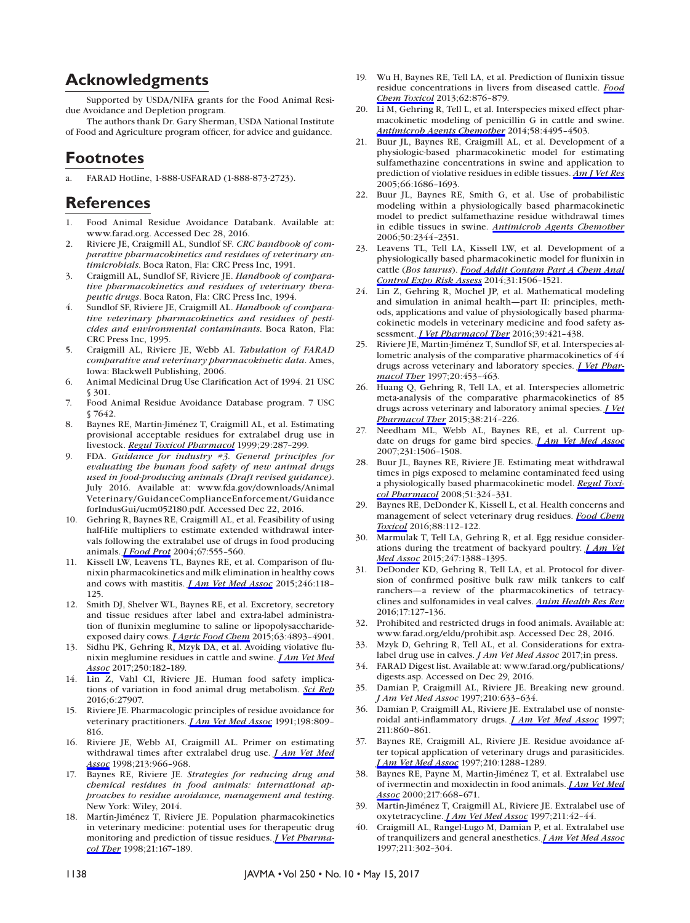## **Acknowledgments**

Supported by USDA/NIFA grants for the Food Animal Residue Avoidance and Depletion program.

The authors thank Dr. Gary Sherman, USDA National Institute of Food and Agriculture program officer, for advice and guidance.

## **Footnotes**

a. FARAD Hotline, 1-888-USFARAD (1-888-873-2723).

## **References**

- 1. Food Animal Residue Avoidance Databank. Available at: www.farad.org. Accessed Dec 28, 2016.
- 2. Riviere JE, Craigmill AL, Sundlof SF. *CRC handbook of comparative pharmacokinetics and residues of veterinary antimicrobials*. Boca Raton, Fla: CRC Press Inc, 1991.
- 3. Craigmill AL, Sundlof SF, Riviere JE. *Handbook of comparative pharmacokinetics and residues of veterinary therapeutic drugs*. Boca Raton, Fla: CRC Press Inc, 1994.
- 4. Sundlof SF, Riviere JE, Craigmill AL. *Handbook of comparative veterinary pharmacokinetics and residues of pesticides and environmental contaminants*. Boca Raton, Fla: CRC Press Inc, 1995.
- 5. Craigmill AL, Riviere JE, Webb AI. *Tabulation of FARAD comparative and veterinary pharmacokinetic data*. Ames, Iowa: Blackwell Publishing, 2006.
- 6. Animal Medicinal Drug Use Clarification Act of 1994. 21 USC § 301.
- 7. Food Animal Residue Avoidance Database program. 7 USC § 7642.
- 8. Baynes RE, Martin-Jiménez T, Craigmill AL, et al. Estimating provisional acceptable residues for extralabel drug use in livestock. *[Regul Toxicol Pharmacol](http://avmajournals.avma.org/action/showLinks?doi=10.2460%2Fjavma.250.10.1131&pmid=10388614&crossref=10.1006%2Frtph.1999.1302&citationId=p_16)* 1999;29:287–299.
- 9. FDA. *Guidance for industry #3. General principles for evaluating the human food safety of new animal drugs used in food-producing animals (Draft revised guidance)*. July 2016. Available at: www.fda.gov/downloads/Animal Veterinary/GuidanceComplianceEnforcement/Guidance forIndusGui/ucm052180.pdf. Accessed Dec 22, 2016.
- 10. Gehring R, Baynes RE, Craigmill AL, et al. Feasibility of using half-life multipliers to estimate extended withdrawal intervals following the extralabel use of drugs in food producing animals. *[J Food Prot](http://avmajournals.avma.org/action/showLinks?doi=10.2460%2Fjavma.250.10.1131&pmid=15035373&crossref=10.4315%2F0362-028X-67.3.555&citationId=p_20)* 2004;67:555–560.
- 11. Kissell LW, Leavens TL, Baynes RE, et al. Comparison of flunixin pharmacokinetics and milk elimination in healthy cows and cows with mastitis. *[J Am Vet Med Assoc](http://avmajournals.avma.org/action/showLinks?doi=10.2460%2Fjavma.250.10.1131&system=10.2460%2Fjavma.246.1.118&citationId=p_22)* 2015;246:118– 125.
- 12. Smith DJ, Shelver WL, Baynes RE, et al. Excretory, secretory and tissue residues after label and extra-label administration of flunixin meglumine to saline or lipopolysaccharideexposed dairy cows. *[J Agric Food Chem](http://avmajournals.avma.org/action/showLinks?doi=10.2460%2Fjavma.250.10.1131&pmid=25950946&crossref=10.1021%2Facs.jafc.5b01509&citationId=p_24)* 2015;63:4893–4901.
- 13. Sidhu PK, Gehring R, Mzyk DA, et al. Avoiding violative flunixin meglumine residues in cattle and swine. *[J Am Vet Med](http://avmajournals.avma.org/action/showLinks?doi=10.2460%2Fjavma.250.10.1131&system=10.2460%2Fjavma.250.2.182&citationId=p_26)  [Assoc](http://avmajournals.avma.org/action/showLinks?doi=10.2460%2Fjavma.250.10.1131&system=10.2460%2Fjavma.250.2.182&citationId=p_26)* 2017;250:182–189.
- 14. Lin Z, Vahl CI, Riviere JE. Human food safety implications of variation in food animal drug metabolism. *[Sci Rep](http://avmajournals.avma.org/action/showLinks?doi=10.2460%2Fjavma.250.10.1131&pmid=27302389&crossref=10.1038%2Fsrep27907&citationId=p_28)* 2016;6:27907.
- 15. Riviere JE. Pharmacologic principles of residue avoidance for veterinary practitioners. *[J Am Vet Med Assoc](http://avmajournals.avma.org/action/showLinks?doi=10.2460%2Fjavma.250.10.1131&pmid=2026526&citationId=p_30)* 1991;198:809– 816.
- 16. Riviere JE, Webb AI, Craigmill AL. Primer on estimating withdrawal times after extralabel drug use. *[J Am Vet Med](http://avmajournals.avma.org/action/showLinks?doi=10.2460%2Fjavma.250.10.1131&pmid=9776991&citationId=p_32)  [Assoc](http://avmajournals.avma.org/action/showLinks?doi=10.2460%2Fjavma.250.10.1131&pmid=9776991&citationId=p_32)* 1998;213:966–968.
- 17. Baynes RE, Riviere JE. *Strategies for reducing drug and chemical residues in food animals: international approaches to residue avoidance, management and testing*. New York: Wiley, 2014.
- 18. Martín-Jiménez T, Riviere JE. Population pharmacokinetics in veterinary medicine: potential uses for therapeutic drug monitoring and prediction of tissue residues. *[J Vet Pharma](http://avmajournals.avma.org/action/showLinks?doi=10.2460%2Fjavma.250.10.1131&pmid=9673958&crossref=10.1046%2Fj.1365-2885.1998.00121.x&citationId=p_36)[col Ther](http://avmajournals.avma.org/action/showLinks?doi=10.2460%2Fjavma.250.10.1131&pmid=9673958&crossref=10.1046%2Fj.1365-2885.1998.00121.x&citationId=p_36)* 1998;21:167–189.
- 19. Wu H, Baynes RE, Tell LA, et al. Prediction of flunixin tissue residue concentrations in livers from diseased cattle. *[Food](http://avmajournals.avma.org/action/showLinks?doi=10.2460%2Fjavma.250.10.1131&pmid=24416775&crossref=10.1016%2Fj.fct.2013.10.018&citationId=p_38)  [Chem Toxicol](http://avmajournals.avma.org/action/showLinks?doi=10.2460%2Fjavma.250.10.1131&pmid=24416775&crossref=10.1016%2Fj.fct.2013.10.018&citationId=p_38)* 2013;62:876–879.
- 20. Li M, Gehring R, Tell L, et al. Interspecies mixed effect pharmacokinetic modeling of penicillin G in cattle and swine. *[Antimicrob Agents Chemother](http://avmajournals.avma.org/action/showLinks?doi=10.2460%2Fjavma.250.10.1131&pmid=24867969&crossref=10.1128%2FAAC.02806-14&citationId=p_40)* 2014;58:4495–4503.
- 21. Buur JL, Baynes RE, Craigmill AL, et al. Development of a physiologic-based pharmacokinetic model for estimating sulfamethazine concentrations in swine and application to prediction of violative residues in edible tissues. *[Am J Vet Res](http://avmajournals.avma.org/action/showLinks?doi=10.2460%2Fjavma.250.10.1131&system=10.2460%2Fajvr.2005.66.1686&citationId=p_42)* 2005;66:1686–1693.
- 22. Buur JL, Baynes RE, Smith G, et al. Use of probabilistic modeling within a physiologically based pharmacokinetic model to predict sulfamethazine residue withdrawal times in edible tissues in swine. *[Antimicrob Agents Chemother](http://avmajournals.avma.org/action/showLinks?doi=10.2460%2Fjavma.250.10.1131&pmid=16801411&crossref=10.1128%2FAAC.01355-05&citationId=p_44)* 2006;50:2344–2351.
- 23. Leavens TL, Tell LA, Kissell LW, et al. Development of a physiologically based pharmacokinetic model for flunixin in cattle (*Bos taurus*). *[Food Addit Contam Part A Chem Anal](http://avmajournals.avma.org/action/showLinks?doi=10.2460%2Fjavma.250.10.1131&pmid=25082521&crossref=10.1080%2F19440049.2014.938363&citationId=p_46)  [Control Expo Risk Assess](http://avmajournals.avma.org/action/showLinks?doi=10.2460%2Fjavma.250.10.1131&pmid=25082521&crossref=10.1080%2F19440049.2014.938363&citationId=p_46)* 2014;31:1506–1521.
- 24. Lin Z, Gehring R, Mochel JP, et al. Mathematical modeling and simulation in animal health—part II: principles, methods, applications and value of physiologically based pharmacokinetic models in veterinary medicine and food safety assessment. *[J Vet Pharmacol Ther](http://avmajournals.avma.org/action/showLinks?doi=10.2460%2Fjavma.250.10.1131&pmid=27086878&crossref=10.1111%2Fjvp.12311&citationId=p_48)* 2016;39:421–438.
- 25. Riviere JE, Martin-Jiménez T, Sundlof SF, et al. Interspecies allometric analysis of the comparative pharmacokinetics of 44 drugs across veterinary and laboratory species. *[J Vet Phar](http://avmajournals.avma.org/action/showLinks?doi=10.2460%2Fjavma.250.10.1131&pmid=9430769&crossref=10.1046%2Fj.1365-2885.1997.00095.x&citationId=p_50)[macol Ther](http://avmajournals.avma.org/action/showLinks?doi=10.2460%2Fjavma.250.10.1131&pmid=9430769&crossref=10.1046%2Fj.1365-2885.1997.00095.x&citationId=p_50)* 1997;20:453–463.
- 26. Huang Q, Gehring R, Tell LA, et al. Interspecies allometric meta-analysis of the comparative pharmacokinetics of 85 drugs across veterinary and laboratory animal species. *[J Vet](http://avmajournals.avma.org/action/showLinks?doi=10.2460%2Fjavma.250.10.1131&pmid=25333341&crossref=10.1111%2Fjvp.12174&citationId=p_52)  [Pharmacol Ther](http://avmajournals.avma.org/action/showLinks?doi=10.2460%2Fjavma.250.10.1131&pmid=25333341&crossref=10.1111%2Fjvp.12174&citationId=p_52)* 2015;38:214–226.
- 27. Needham ML, Webb AL, Baynes RE, et al. Current update on drugs for game bird species. *[J Am Vet Med Assoc](http://avmajournals.avma.org/action/showLinks?doi=10.2460%2Fjavma.250.10.1131&system=10.2460%2Fjavma.231.10.1506&citationId=p_54)* 2007;231:1506–1508.
- 28. Buur JL, Baynes RE, Riviere JE. Estimating meat withdrawal times in pigs exposed to melamine contaminated feed using a physiologically based pharmacokinetic model. *[Regul Toxi](http://avmajournals.avma.org/action/showLinks?doi=10.2460%2Fjavma.250.10.1131&pmid=18572294&crossref=10.1016%2Fj.yrtph.2008.05.003&citationId=p_56)[col Pharmacol](http://avmajournals.avma.org/action/showLinks?doi=10.2460%2Fjavma.250.10.1131&pmid=18572294&crossref=10.1016%2Fj.yrtph.2008.05.003&citationId=p_56)* 2008;51:324–331.
- 29. Baynes RE, DeDonder K, Kissell L, et al. Health concerns and management of select veterinary drug residues. *[Food Chem](http://avmajournals.avma.org/action/showLinks?doi=10.2460%2Fjavma.250.10.1131&pmid=26751035&crossref=10.1016%2Fj.fct.2015.12.020&citationId=p_58)  [Toxicol](http://avmajournals.avma.org/action/showLinks?doi=10.2460%2Fjavma.250.10.1131&pmid=26751035&crossref=10.1016%2Fj.fct.2015.12.020&citationId=p_58)* 2016;88:112–122.
- 30. Marmulak T, Tell LA, Gehring R, et al. Egg residue considerations during the treatment of backyard poultry. *[J Am Vet](http://avmajournals.avma.org/action/showLinks?doi=10.2460%2Fjavma.250.10.1131&system=10.2460%2Fjavma.247.12.1388&citationId=p_60)  [Med Assoc](http://avmajournals.avma.org/action/showLinks?doi=10.2460%2Fjavma.250.10.1131&system=10.2460%2Fjavma.247.12.1388&citationId=p_60)* 2015;247:1388–1395.
- 31. DeDonder KD, Gehring R, Tell LA, et al. Protocol for diversion of confirmed positive bulk raw milk tankers to calf ranchers—a review of the pharmacokinetics of tetracyclines and sulfonamides in veal calves. *[Anim Health Res Rev](http://avmajournals.avma.org/action/showLinks?doi=10.2460%2Fjavma.250.10.1131&pmid=27534578&crossref=10.1017%2FS1466252316000098&citationId=p_62)* 2016;17:127–136.
- 32. Prohibited and restricted drugs in food animals. Available at: www.farad.org/eldu/prohibit.asp. Accessed Dec 28, 2016.
- 33. Mzyk D, Gehring R, Tell AL, et al. Considerations for extralabel drug use in calves. *J Am Vet Med Assoc* 2017;in press.
- 34. FARAD Digest list. Available at: www.farad.org/publications/ digests.asp. Accessed on Dec 29, 2016.
- 35. Damian P, Craigmill AL, Riviere JE. Breaking new ground. *J Am Vet Med Assoc* 1997;210:633–634.
- 36. Damian P, Craigmill AL, Riviere JE. Extralabel use of nonsteroidal anti-inflammatory drugs. *[J Am Vet Med Assoc](http://avmajournals.avma.org/action/showLinks?doi=10.2460%2Fjavma.250.10.1131&pmid=9333086&citationId=p_72)* 1997; 211:860–861.
- 37. Baynes RE, Craigmill AL, Riviere JE. Residue avoidance after topical application of veterinary drugs and parasiticides. *[J Am Vet Med Assoc](http://avmajournals.avma.org/action/showLinks?doi=10.2460%2Fjavma.250.10.1131&pmid=9143531&citationId=p_74)* 1997;210:1288–1289.
- 38. Baynes RE, Payne M, Martin-Jiménez T, et al. Extralabel use of ivermectin and moxidectin in food animals. *[J Am Vet Med](http://avmajournals.avma.org/action/showLinks?doi=10.2460%2Fjavma.250.10.1131&system=10.2460%2Fjavma.2000.217.668&citationId=p_76)  [Assoc](http://avmajournals.avma.org/action/showLinks?doi=10.2460%2Fjavma.250.10.1131&system=10.2460%2Fjavma.2000.217.668&citationId=p_76)* 2000;217:668–671.
- 39. Martin-Jiménez T, Craigmill AL, Riviere JE. Extralabel use of oxytetracycline. *[J Am Vet Med Assoc](http://avmajournals.avma.org/action/showLinks?doi=10.2460%2Fjavma.250.10.1131&pmid=9215409&citationId=p_78)* 1997;211:42–44.
- 40. Craigmill AL, Rangel-Lugo M, Damian P, et al. Extralabel use of tranquilizers and general anesthetics. *[J Am Vet Med Assoc](http://avmajournals.avma.org/action/showLinks?doi=10.2460%2Fjavma.250.10.1131&pmid=9262667&citationId=p_80)* 1997;211:302–304.